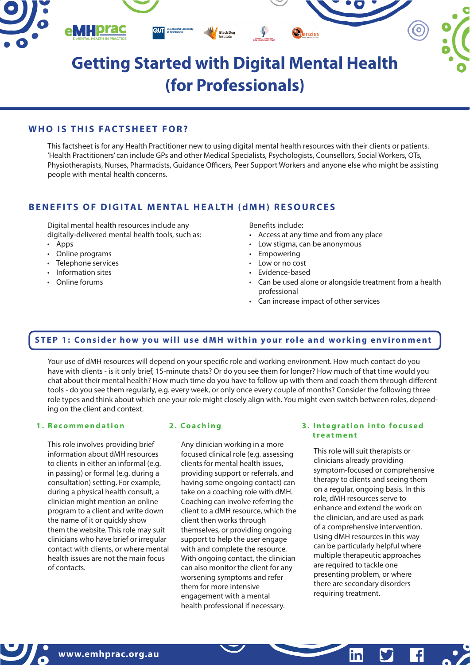

## **WHO IS THIS FACTSHEET FOR?**

This factsheet is for any Health Practitioner new to using digital mental health resources with their clients or patients. 'Health Practitioners' can include GPs and other Medical Specialists, Psychologists, Counsellors, Social Workers, OTs, Physiotherapists, Nurses, Pharmacists, Guidance Officers, Peer Support Workers and anyone else who might be assisting people with mental health concerns.

## **BENEFITS OF DIGITAL MENTAL HEALTH (dMH) RESOURCES**

Digital mental health resources include any digitally-delivered mental health tools, such as:

- Apps
- Online programs
- Telephone services
- Information sites
- Online forums

Benefits include:

- Access at any time and from any place
- Low stigma, can be anonymous
- **Empowering**
- Low or no cost
- Evidence-based
- Can be used alone or alongside treatment from a health professional
- Can increase impact of other services

## **STEP 1: Consider how you will use dMH within your role and working environment**

Your use of dMH resources will depend on your specific role and working environment. How much contact do you have with clients - is it only brief, 15-minute chats? Or do you see them for longer? How much of that time would you chat about their mental health? How much time do you have to follow up with them and coach them through different tools - do you see them regularly, e.g. every week, or only once every couple of months? Consider the following three role types and think about which one your role might closely align with. You might even switch between roles, depending on the client and context.

#### **1. Recommendation**

This role involves providing brief information about dMH resources to clients in either an informal (e.g. in passing) or formal (e.g. during a consultation) setting. For example, during a physical health consult, a clinician might mention an online program to a client and write down the name of it or quickly show them the website. This role may suit clinicians who have brief or irregular contact with clients, or where mental health issues are not the main focus of contacts.

Any clinician working in a more focused clinical role (e.g. assessing clients for mental health issues, providing support or referrals, and having some ongoing contact) can take on a coaching role with dMH. Coaching can involve referring the client to a dMH resource, which the client then works through themselves, or providing ongoing support to help the user engage with and complete the resource. With ongoing contact, the clinician can also monitor the client for any worsening symptoms and refer them for more intensive engagement with a mental health professional if necessary.

### **2. Coaching 3. Integration into focused treatment**

This role will suit therapists or clinicians already providing symptom-focused or comprehensive therapy to clients and seeing them on a regular, ongoing basis. In this role, dMH resources serve to enhance and extend the work on the clinician, and are used as park of a comprehensive intervention. Using dMH resources in this way can be particularly helpful where multiple therapeutic approaches are required to tackle one presenting problem, or where there are secondary disorders requiring treatment.

in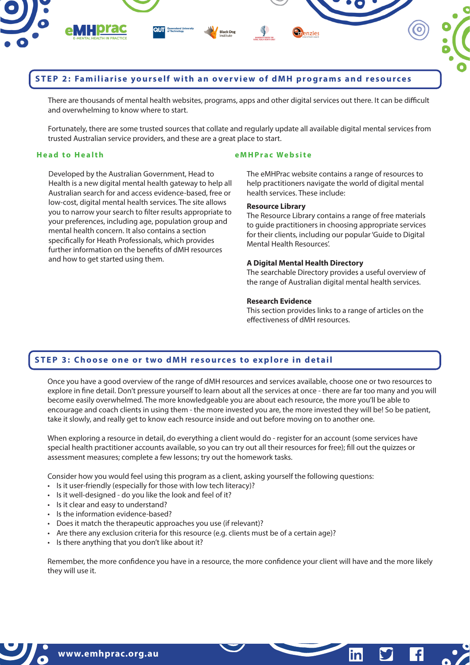

## **STEP 2: Familiarise yourself with an overview of dMH programs and resources**

There are thousands of mental health websites, programs, apps and other digital services out there. It can be difficult and overwhelming to know where to start.

Fortunately, there are some trusted sources that collate and regularly update all available digital mental services from trusted Australian service providers, and these are a great place to start.

Developed by the Australian Government, Head to Health is a new digital mental health gateway to help all Australian search for and access evidence-based, free or low-cost, digital mental health services. The site allows you to narrow your search to filter results appropriate to your preferences, including age, population group and mental health concern. It also contains a section specifically for Heath Professionals, which provides further information on the benefits of dMH resources and how to get started using them.

### **Head to Health eMHPrac Website**

The eMHPrac website contains a range of resources to help practitioners navigate the world of digital mental health services. These include:

## **Resource Library**

The Resource Library contains a range of free materials to guide practitioners in choosing appropriate services for their clients, including our popular 'Guide to Digital Mental Health Resources'.

## **A Digital Mental Health Directory**

The searchable Directory provides a useful overview of the range of Australian digital mental health services.

#### **Research Evidence**

This section provides links to a range of articles on the effectiveness of dMH resources.

 $\mathbf{f}$ 

inl

## **STEP 3: Choose one or two dMH resources to explore in detail**

Once you have a good overview of the range of dMH resources and services available, choose one or two resources to explore in fine detail. Don't pressure yourself to learn about all the services at once - there are far too many and you will become easily overwhelmed. The more knowledgeable you are about each resource, the more you'll be able to encourage and coach clients in using them - the more invested you are, the more invested they will be! So be patient, take it slowly, and really get to know each resource inside and out before moving on to another one.

When exploring a resource in detail, do everything a client would do - register for an account (some services have special health practitioner accounts available, so you can try out all their resources for free); fill out the quizzes or assessment measures; complete a few lessons; try out the homework tasks.

Consider how you would feel using this program as a client, asking yourself the following questions:

- Is it user-friendly (especially for those with low tech literacy)?
- Is it well-designed do you like the look and feel of it?
- Is it clear and easy to understand?
- Is the information evidence-based?
- Does it match the therapeutic approaches you use (if relevant)?
- Are there any exclusion criteria for this resource (e.g. clients must be of a certain age)?
- Is there anything that you don't like about it?

Remember, the more confidence you have in a resource, the more confidence your client will have and the more likely they will use it.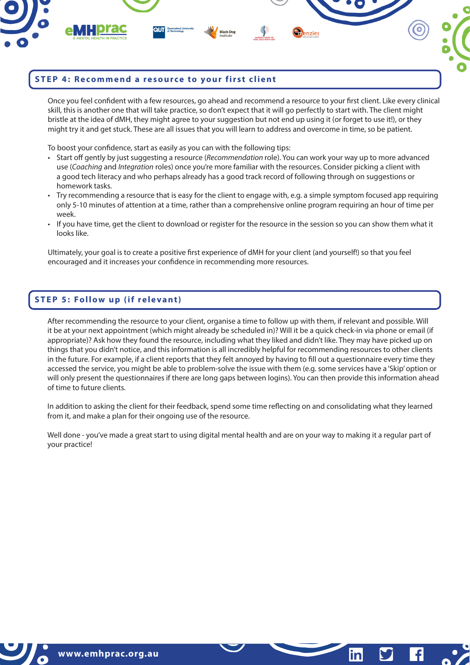

## **STEP 4: Recommend a resource to your first client**

Once you feel confident with a few resources, go ahead and recommend a resource to your first client. Like every clinical skill, this is another one that will take practice, so don't expect that it will go perfectly to start with. The client might bristle at the idea of dMH, they might agree to your suggestion but not end up using it (or forget to use it!), or they might try it and get stuck. These are all issues that you will learn to address and overcome in time, so be patient.

To boost your confidence, start as easily as you can with the following tips:

- Start off gently by just suggesting a resource (*Recommendation* role). You can work your way up to more advanced use (*Coaching* and *Integration* roles) once you're more familiar with the resources. Consider picking a client with a good tech literacy and who perhaps already has a good track record of following through on suggestions or homework tasks.
- Try recommending a resource that is easy for the client to engage with, e.g. a simple symptom focused app requiring only 5-10 minutes of attention at a time, rather than a comprehensive online program requiring an hour of time per week.
- If you have time, get the client to download or register for the resource in the session so you can show them what it looks like.

Ultimately, your goal is to create a positive first experience of dMH for your client (and yourself!) so that you feel encouraged and it increases your confidence in recommending more resources.

## **STEP 5: Follow up (if relevant)**

After recommending the resource to your client, organise a time to follow up with them, if relevant and possible. Will it be at your next appointment (which might already be scheduled in)? Will it be a quick check-in via phone or email (if appropriate)? Ask how they found the resource, including what they liked and didn't like. They may have picked up on things that you didn't notice, and this information is all incredibly helpful for recommending resources to other clients in the future. For example, if a client reports that they felt annoyed by having to fill out a questionnaire every time they accessed the service, you might be able to problem-solve the issue with them (e.g. some services have a 'Skip' option or will only present the questionnaires if there are long gaps between logins). You can then provide this information ahead of time to future clients.

In addition to asking the client for their feedback, spend some time reflecting on and consolidating what they learned from it, and make a plan for their ongoing use of the resource.

Well done - you've made a great start to using digital mental health and are on your way to making it a regular part of your practice!

 $\mathbf{f}$ 

inl